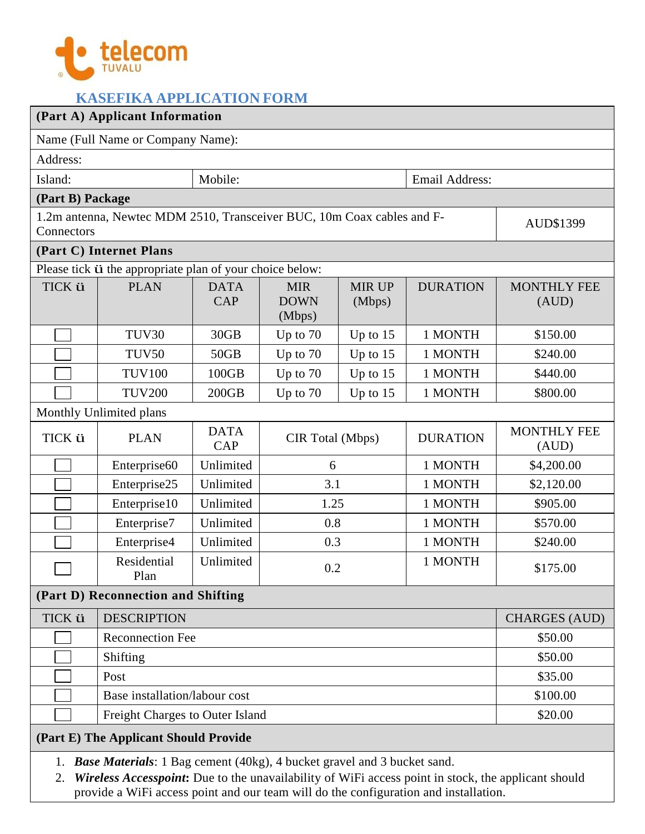

## **KASEFIKA APPLICATION FORM**

| (Part A) Applicant Information                                                                                                                                                                                                                                                            |                                                                                     |                           |                                     |                         |                 |                             |  |  |
|-------------------------------------------------------------------------------------------------------------------------------------------------------------------------------------------------------------------------------------------------------------------------------------------|-------------------------------------------------------------------------------------|---------------------------|-------------------------------------|-------------------------|-----------------|-----------------------------|--|--|
| Name (Full Name or Company Name):                                                                                                                                                                                                                                                         |                                                                                     |                           |                                     |                         |                 |                             |  |  |
| Address:                                                                                                                                                                                                                                                                                  |                                                                                     |                           |                                     |                         |                 |                             |  |  |
| Island:                                                                                                                                                                                                                                                                                   |                                                                                     | Mobile:                   |                                     |                         | Email Address:  |                             |  |  |
| (Part B) Package                                                                                                                                                                                                                                                                          |                                                                                     |                           |                                     |                         |                 |                             |  |  |
|                                                                                                                                                                                                                                                                                           | 1.2m antenna, Newtec MDM 2510, Transceiver BUC, 10m Coax cables and F-<br>AUD\$1399 |                           |                                     |                         |                 |                             |  |  |
| Connectors                                                                                                                                                                                                                                                                                |                                                                                     |                           |                                     |                         |                 |                             |  |  |
| (Part C) Internet Plans                                                                                                                                                                                                                                                                   |                                                                                     |                           |                                     |                         |                 |                             |  |  |
| Please tick <i>i</i> the appropriate plan of your choice below:                                                                                                                                                                                                                           |                                                                                     |                           |                                     |                         |                 |                             |  |  |
| TICK ü                                                                                                                                                                                                                                                                                    | <b>PLAN</b>                                                                         | <b>DATA</b><br><b>CAP</b> | <b>MIR</b><br><b>DOWN</b><br>(Mbps) | <b>MIR UP</b><br>(Mbps) | <b>DURATION</b> | <b>MONTHLY FEE</b><br>(AUD) |  |  |
|                                                                                                                                                                                                                                                                                           | TUV30                                                                               | 30GB                      | Up to $70$                          | Up to $15$              | 1 MONTH         | \$150.00                    |  |  |
|                                                                                                                                                                                                                                                                                           | TUV50                                                                               | 50GB                      | Up to $70$                          | Up to $15$              | 1 MONTH         | \$240.00                    |  |  |
|                                                                                                                                                                                                                                                                                           | <b>TUV100</b>                                                                       | 100GB                     | Up to $70$                          | Up to $15$              | 1 MONTH         | \$440.00                    |  |  |
|                                                                                                                                                                                                                                                                                           | <b>TUV200</b>                                                                       | 200GB                     | Up to 70                            | Up to $15$              | 1 MONTH         | \$800.00                    |  |  |
| Monthly Unlimited plans                                                                                                                                                                                                                                                                   |                                                                                     |                           |                                     |                         |                 |                             |  |  |
| TICK ü                                                                                                                                                                                                                                                                                    | <b>PLAN</b>                                                                         | <b>DATA</b><br><b>CAP</b> | CIR Total (Mbps)                    |                         | <b>DURATION</b> | <b>MONTHLY FEE</b><br>(AUD) |  |  |
|                                                                                                                                                                                                                                                                                           | Enterprise <sub>60</sub>                                                            | Unlimited                 | 6                                   |                         | 1 MONTH         | \$4,200.00                  |  |  |
|                                                                                                                                                                                                                                                                                           | Enterprise25                                                                        | Unlimited                 | 3.1                                 |                         | 1 MONTH         | \$2,120.00                  |  |  |
|                                                                                                                                                                                                                                                                                           | Enterprise10                                                                        | Unlimited                 | 1.25                                |                         | 1 MONTH         | \$905.00                    |  |  |
|                                                                                                                                                                                                                                                                                           | Enterprise7                                                                         | Unlimited                 | 0.8                                 |                         | 1 MONTH         | \$570.00                    |  |  |
|                                                                                                                                                                                                                                                                                           | Enterprise4                                                                         | Unlimited                 | 0.3                                 |                         | 1 MONTH         | \$240.00                    |  |  |
|                                                                                                                                                                                                                                                                                           | Residential<br>Plan                                                                 | Unlimited                 | 0.2                                 |                         | 1 MONTH         | \$175.00                    |  |  |
| (Part D) Reconnection and Shifting                                                                                                                                                                                                                                                        |                                                                                     |                           |                                     |                         |                 |                             |  |  |
| TICK ü                                                                                                                                                                                                                                                                                    | <b>DESCRIPTION</b>                                                                  |                           |                                     |                         |                 | <b>CHARGES (AUD)</b>        |  |  |
|                                                                                                                                                                                                                                                                                           | <b>Reconnection Fee</b>                                                             | \$50.00                   |                                     |                         |                 |                             |  |  |
|                                                                                                                                                                                                                                                                                           | Shifting                                                                            | \$50.00                   |                                     |                         |                 |                             |  |  |
|                                                                                                                                                                                                                                                                                           | Post                                                                                |                           |                                     |                         |                 | \$35.00                     |  |  |
|                                                                                                                                                                                                                                                                                           | Base installation/labour cost                                                       |                           |                                     |                         |                 | \$100.00                    |  |  |
|                                                                                                                                                                                                                                                                                           | Freight Charges to Outer Island                                                     |                           |                                     |                         |                 | \$20.00                     |  |  |
| (Part E) The Applicant Should Provide                                                                                                                                                                                                                                                     |                                                                                     |                           |                                     |                         |                 |                             |  |  |
| <b>Base Materials:</b> 1 Bag cement (40kg), 4 bucket gravel and 3 bucket sand.<br>1.<br>Wireless Accesspoint: Due to the unavailability of WiFi access point in stock, the applicant should<br>2.<br>provide a WiFi access point and our team will do the configuration and installation. |                                                                                     |                           |                                     |                         |                 |                             |  |  |